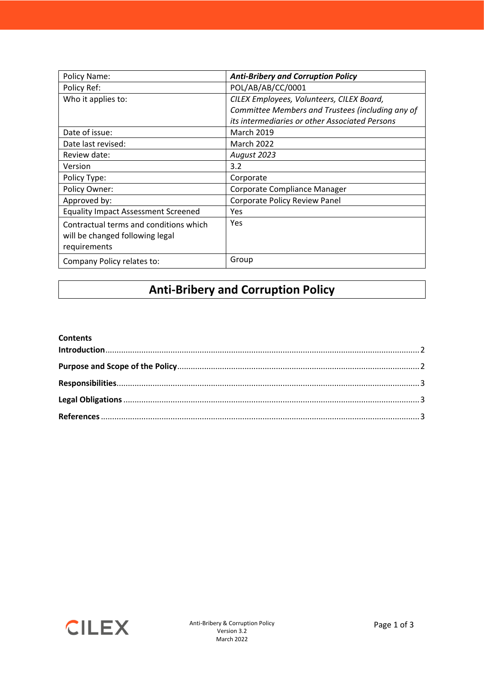| Policy Name:                               | <b>Anti-Bribery and Corruption Policy</b>        |
|--------------------------------------------|--------------------------------------------------|
| Policy Ref:                                | POL/AB/AB/CC/0001                                |
| Who it applies to:                         | CILEX Employees, Volunteers, CILEX Board,        |
|                                            | Committee Members and Trustees (including any of |
|                                            | its intermediaries or other Associated Persons   |
| Date of issue:                             | <b>March 2019</b>                                |
| Date last revised:                         | <b>March 2022</b>                                |
| Review date:                               | August 2023                                      |
| Version                                    | 3.2                                              |
| Policy Type:                               | Corporate                                        |
| Policy Owner:                              | Corporate Compliance Manager                     |
| Approved by:                               | Corporate Policy Review Panel                    |
| <b>Equality Impact Assessment Screened</b> | Yes                                              |
| Contractual terms and conditions which     | Yes                                              |
| will be changed following legal            |                                                  |
| requirements                               |                                                  |
| Company Policy relates to:                 | Group                                            |

#### **Anti-Bribery and Corruption Policy**

#### **Contents**

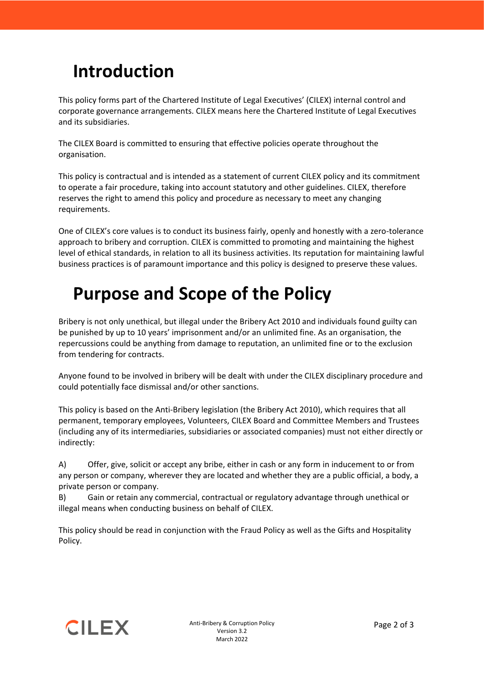## <span id="page-1-0"></span>**Introduction**

This policy forms part of the Chartered Institute of Legal Executives' (CILEX) internal control and corporate governance arrangements. CILEX means here the Chartered Institute of Legal Executives and its subsidiaries.

The CILEX Board is committed to ensuring that effective policies operate throughout the organisation.

This policy is contractual and is intended as a statement of current CILEX policy and its commitment to operate a fair procedure, taking into account statutory and other guidelines. CILEX, therefore reserves the right to amend this policy and procedure as necessary to meet any changing requirements.

One of CILEX's core values is to conduct its business fairly, openly and honestly with a zero-tolerance approach to bribery and corruption. CILEX is committed to promoting and maintaining the highest level of ethical standards, in relation to all its business activities. Its reputation for maintaining lawful business practices is of paramount importance and this policy is designed to preserve these values.

## <span id="page-1-1"></span>**Purpose and Scope of the Policy**

Bribery is not only unethical, but illegal under the Bribery Act 2010 and individuals found guilty can be punished by up to 10 years' imprisonment and/or an unlimited fine. As an organisation, the repercussions could be anything from damage to reputation, an unlimited fine or to the exclusion from tendering for contracts.

Anyone found to be involved in bribery will be dealt with under the CILEX disciplinary procedure and could potentially face dismissal and/or other sanctions.

This policy is based on the Anti-Bribery legislation (the Bribery Act 2010), which requires that all permanent, temporary employees, Volunteers, CILEX Board and Committee Members and Trustees (including any of its intermediaries, subsidiaries or associated companies) must not either directly or indirectly:

A) Offer, give, solicit or accept any bribe, either in cash or any form in inducement to or from any person or company, wherever they are located and whether they are a public official, a body, a private person or company.

B) Gain or retain any commercial, contractual or regulatory advantage through unethical or illegal means when conducting business on behalf of CILEX.

This policy should be read in conjunction with the Fraud Policy as well as the Gifts and Hospitality Policy.